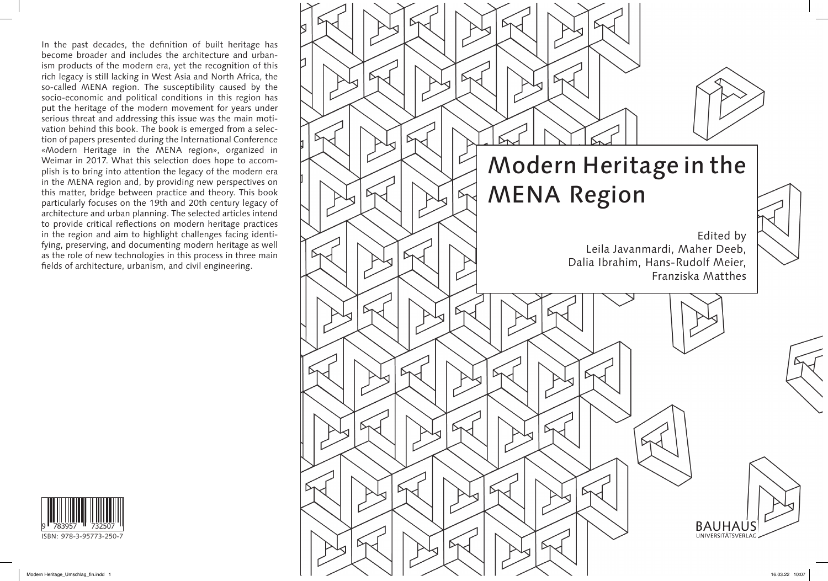

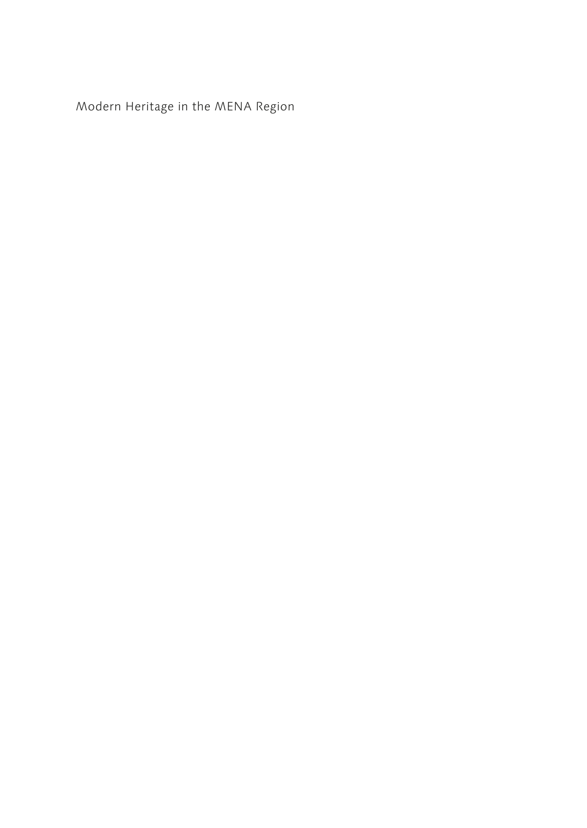Modern Heritage in the MENA Region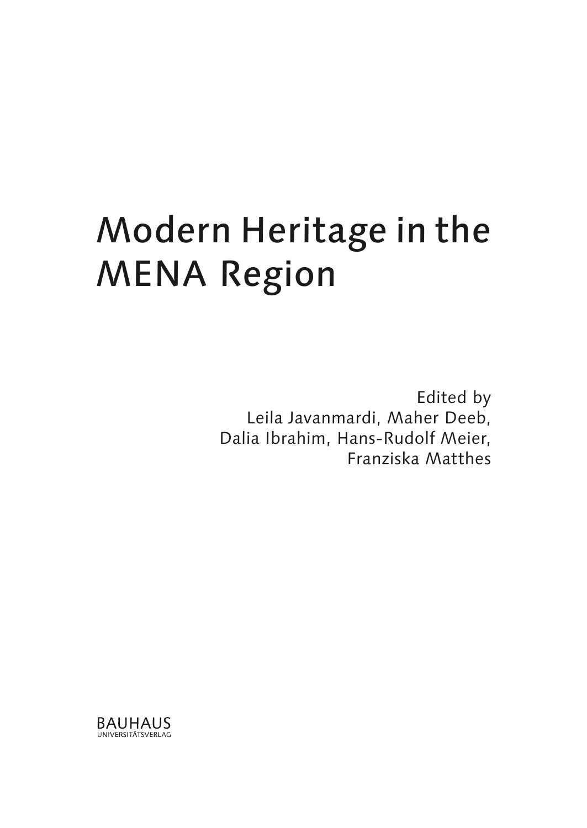# Modern Heritage in the MENA Region

Edited by Leila Javanmardi, Maher Deeb, Dalia Ibrahim, Hans-Rudolf Meier, Franziska Matthes

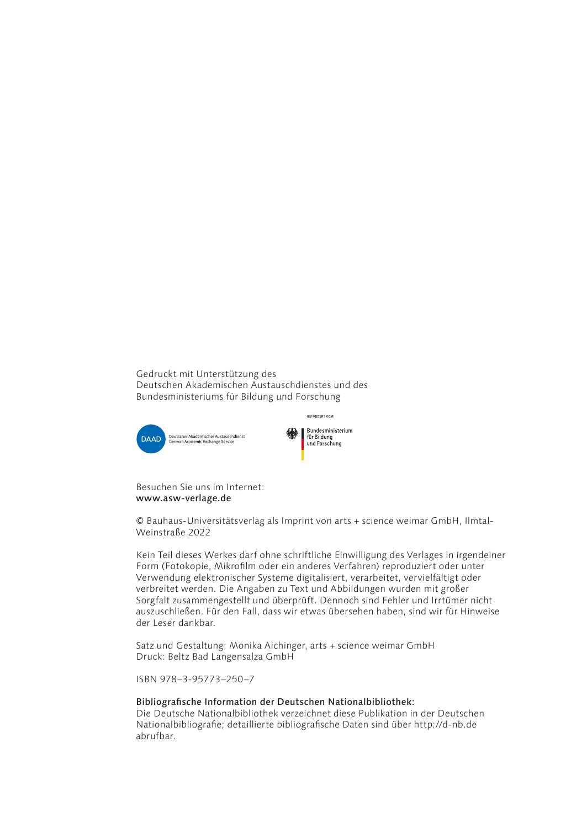Gedruckt mit Unterstützung des Deutschen Akademischen Austauschdienstes und des Bundesministeriums für Bildung und Forschung





Besuchen Sie uns im Internet: www.asw-verlage.de

© Bauhaus-Universitätsverlag als Imprint von arts + science weimar GmbH, Ilmtal-Weinstraße 2022

Kein Teil dieses Werkes darf ohne schriftliche Einwilligung des Verlages in irgendeiner Form (Fotokopie, Mikrofilm oder ein anderes Verfahren) reproduziert oder unter Verwendung elektronischer Systeme digitalisiert, verarbeitet, vervielfältigt oder verbreitet werden. Die Angaben zu Text und Abbildungen wurden mit großer Sorgfalt zusammengestellt und überprüft. Dennoch sind Fehler und Irrtümer nicht auszuschließen. Für den Fall, dass wir etwas übersehen haben, sind wir für Hinweise der Leser dankbar.

Satz und Gestaltung: Monika Aichinger, arts + science weimar GmbH Druck: Beltz Bad Langensalza GmbH

ISBN 978–3-95773–250–7

#### Bibliografische Information der Deutschen Nationalbibliothek:

Die Deutsche Nationalbibliothek verzeichnet diese Publikation in der Deutschen Nationalbibliografie; detaillierte bibliografische Daten sind über http://d-nb.de abrufbar.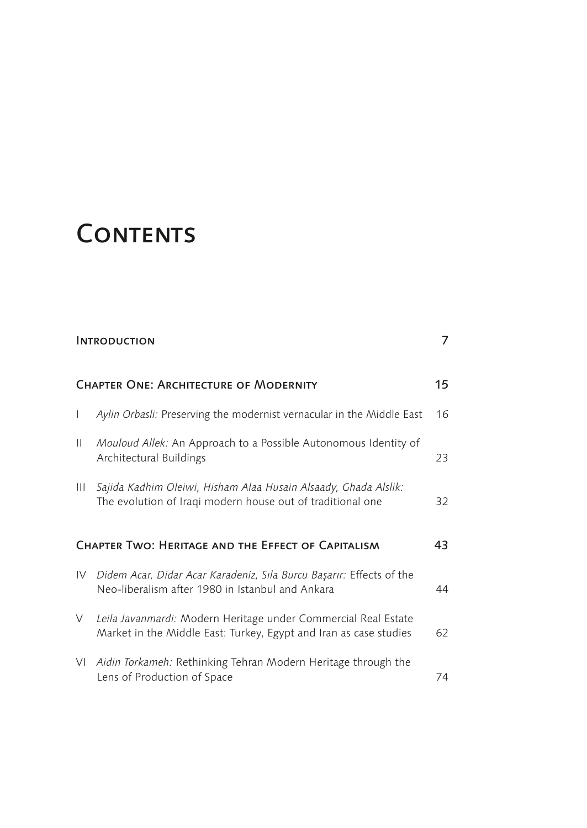### **CONTENTS**

|                                                          | <b>INTRODUCTION</b>                                                                                                                 | 7  |  |
|----------------------------------------------------------|-------------------------------------------------------------------------------------------------------------------------------------|----|--|
|                                                          | <b>CHAPTER ONE: ARCHITECTURE OF MODERNITY</b>                                                                                       |    |  |
| $\mathbf{I}$                                             | Aylin Orbasli: Preserving the modernist vernacular in the Middle East                                                               | 16 |  |
| Ш                                                        | Mouloud Allek: An Approach to a Possible Autonomous Identity of<br>Architectural Buildings                                          | 23 |  |
| Ш                                                        | Sajida Kadhim Oleiwi, Hisham Alaa Husain Alsaady, Ghada Alslik:<br>The evolution of Iraqi modern house out of traditional one       | 32 |  |
| CHAPTER TWO: HERITAGE AND THE EFFECT OF CAPITALISM<br>43 |                                                                                                                                     |    |  |
| IV                                                       | Didem Acar, Didar Acar Karadeniz, Sila Burcu Başarır: Effects of the<br>Neo-liberalism after 1980 in Istanbul and Ankara            | 44 |  |
| V                                                        | Leila Javanmardi: Modern Heritage under Commercial Real Estate<br>Market in the Middle East: Turkey, Egypt and Iran as case studies | 62 |  |
| VI                                                       | Aidin Torkameh: Rethinking Tehran Modern Heritage through the<br>Lens of Production of Space                                        | 74 |  |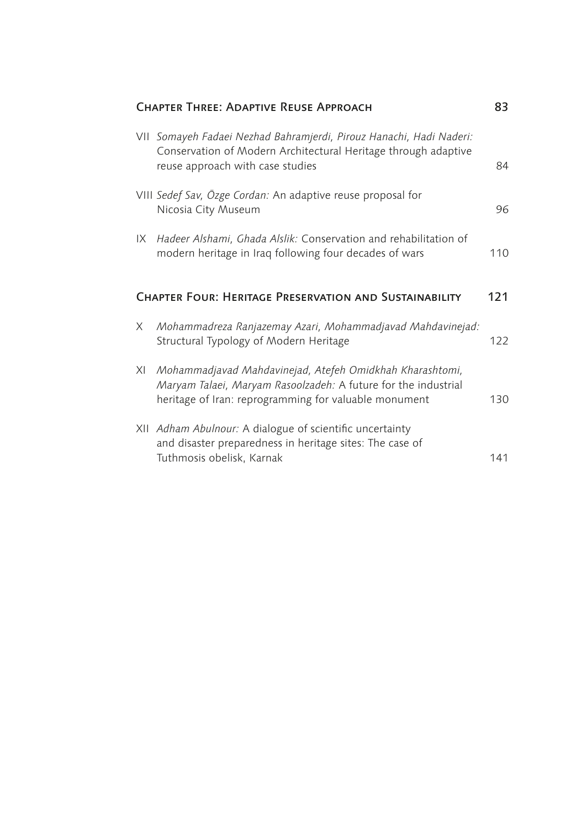|    | <b>CHAPTER THREE: ADAPTIVE REUSE APPROACH</b>                                                                                                                                       | 83  |
|----|-------------------------------------------------------------------------------------------------------------------------------------------------------------------------------------|-----|
|    | VII Somayeh Fadaei Nezhad Bahramjerdi, Pirouz Hanachi, Hadi Naderi:<br>Conservation of Modern Architectural Heritage through adaptive<br>reuse approach with case studies           | 84  |
|    | VIII Sedef Sav, Özge Cordan: An adaptive reuse proposal for<br>Nicosia City Museum                                                                                                  | 96  |
| IX | Hadeer Alshami, Ghada Alslik: Conservation and rehabilitation of<br>modern heritage in Iraq following four decades of wars                                                          | 110 |
|    | <b>CHAPTER FOUR: HERITAGE PRESERVATION AND SUSTAINABILITY</b>                                                                                                                       | 121 |
|    |                                                                                                                                                                                     |     |
| X  | Mohammadreza Ranjazemay Azari, Mohammadjavad Mahdavinejad:<br>Structural Typology of Modern Heritage                                                                                | 122 |
| XI | Mohammadjavad Mahdavinejad, Atefeh Omidkhah Kharashtomi,<br>Maryam Talaei, Maryam Rasoolzadeh: A future for the industrial<br>heritage of Iran: reprogramming for valuable monument | 130 |
|    | XII Adham Abulnour: A dialogue of scientific uncertainty<br>and disaster preparedness in heritage sites: The case of<br>Tuthmosis obelisk, Karnak                                   | 141 |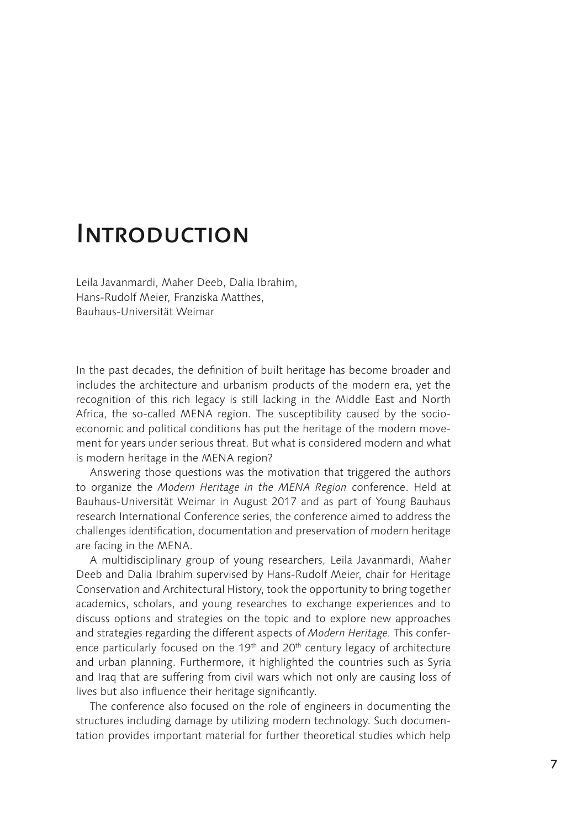### Introduction

Leila Javanmardi, Maher Deeb, Dalia Ibrahim, Hans-Rudolf Meier, Franziska Matthes, Bauhaus-Universität Weimar

In the past decades, the definition of built heritage has become broader and includes the architecture and urbanism products of the modern era, yet the recognition of this rich legacy is still lacking in the Middle East and North Africa, the so-called MENA region. The susceptibility caused by the socioeconomic and political conditions has put the heritage of the modern movement for years under serious threat. But what is considered modern and what is modern heritage in the MENA region?

Answering those questions was the motivation that triggered the authors to organize the *Modern Heritage in the MENA Region* conference. Held at Bauhaus-Universität Weimar in August 2017 and as part of Young Bauhaus research International Conference series, the conference aimed to address the challenges identification, documentation and preservation of modern heritage are facing in the MENA.

A multidisciplinary group of young researchers, Leila Javanmardi, Maher Deeb and Dalia Ibrahim supervised by Hans-Rudolf Meier, chair for Heritage Conservation and Architectural History, took the opportunity to bring together academics, scholars, and young researches to exchange experiences and to discuss options and strategies on the topic and to explore new approaches and strategies regarding the different aspects of *Modern Heritage.* This conference particularly focused on the 19<sup>th</sup> and 20<sup>th</sup> century legacy of architecture and urban planning. Furthermore, it highlighted the countries such as Syria and Iraq that are suffering from civil wars which not only are causing loss of lives but also influence their heritage significantly.

The conference also focused on the role of engineers in documenting the structures including damage by utilizing modern technology. Such documentation provides important material for further theoretical studies which help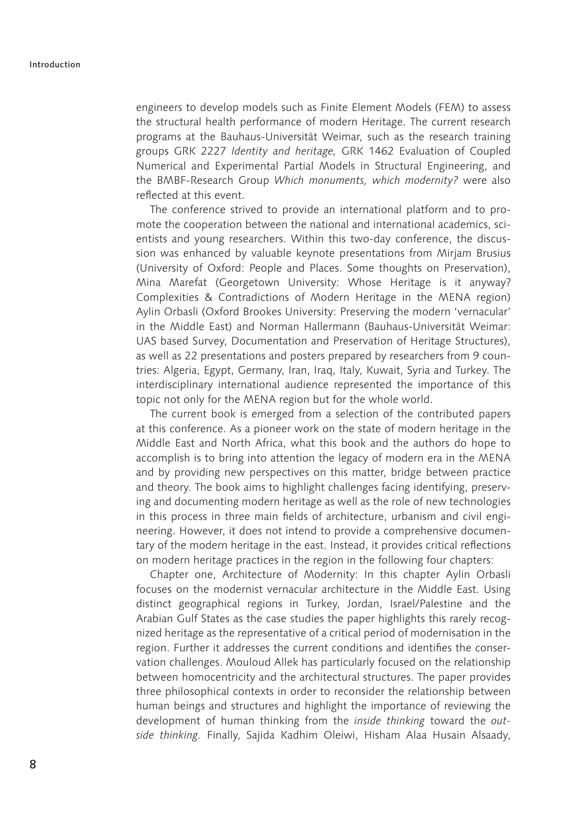engineers to develop models such as Finite Element Models (FEM) to assess the structural health performance of modern Heritage. The current research programs at the Bauhaus-Universität Weimar, such as the research training groups GRK 2227 *Identity and heritage,* GRK 1462 Evaluation of Coupled Numerical and Experimental Partial Models in Structural Engineering, and the BMBF-Research Group *Which monuments, which modernity?* were also reflected at this event.

The conference strived to provide an international platform and to promote the cooperation between the national and international academics, scientists and young researchers. Within this two-day conference, the discussion was enhanced by valuable keynote presentations from Mirjam Brusius (University of Oxford: People and Places. Some thoughts on Preservation), Mina Marefat (Georgetown University: Whose Heritage is it anyway? Complexities & Contradictions of Modern Heritage in the MENA region) Aylin Orbasli (Oxford Brookes University: Preserving the modern 'vernacular' in the Middle East) and Norman Hallermann (Bauhaus-Universität Weimar: UAS based Survey, Documentation and Preservation of Heritage Structures), as well as 22 presentations and posters prepared by researchers from 9 countries: Algeria, Egypt, Germany, Iran, Iraq, Italy, Kuwait, Syria and Turkey. The interdisciplinary international audience represented the importance of this topic not only for the MENA region but for the whole world.

The current book is emerged from a selection of the contributed papers at this conference. As a pioneer work on the state of modern heritage in the Middle East and North Africa, what this book and the authors do hope to accomplish is to bring into attention the legacy of modern era in the MENA and by providing new perspectives on this matter, bridge between practice and theory. The book aims to highlight challenges facing identifying, preserving and documenting modern heritage as well as the role of new technologies in this process in three main fields of architecture, urbanism and civil engineering. However, it does not intend to provide a comprehensive documentary of the modern heritage in the east. Instead, it provides critical reflections on modern heritage practices in the region in the following four chapters:

Chapter one, Architecture of Modernity: In this chapter Aylin Orbasli focuses on the modernist vernacular architecture in the Middle East. Using distinct geographical regions in Turkey, Jordan, Israel/Palestine and the Arabian Gulf States as the case studies the paper highlights this rarely recognized heritage as the representative of a critical period of modernisation in the region. Further it addresses the current conditions and identifies the conservation challenges. Mouloud Allek has particularly focused on the relationship between homocentricity and the architectural structures. The paper provides three philosophical contexts in order to reconsider the relationship between human beings and structures and highlight the importance of reviewing the development of human thinking from the *inside thinking* toward the *outside thinking.* Finally, Sajida Kadhim Oleiwi, Hisham Alaa Husain Alsaady,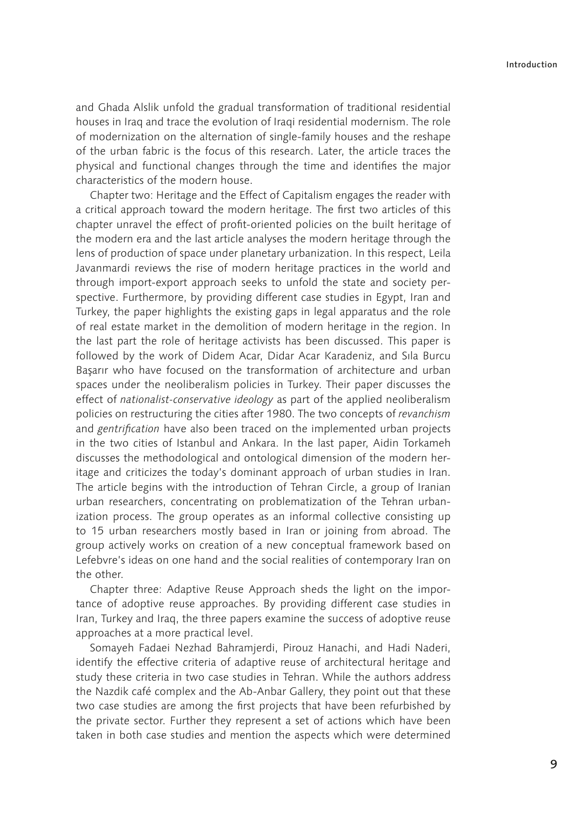and Ghada Alslik unfold the gradual transformation of traditional residential houses in Iraq and trace the evolution of Iraqi residential modernism. The role of modernization on the alternation of single-family houses and the reshape of the urban fabric is the focus of this research. Later, the article traces the physical and functional changes through the time and identifies the major characteristics of the modern house.

Chapter two: Heritage and the Effect of Capitalism engages the reader with a critical approach toward the modern heritage. The first two articles of this chapter unravel the effect of profit-oriented policies on the built heritage of the modern era and the last article analyses the modern heritage through the lens of production of space under planetary urbanization. In this respect, Leila Javanmardi reviews the rise of modern heritage practices in the world and through import-export approach seeks to unfold the state and society perspective. Furthermore, by providing different case studies in Egypt, Iran and Turkey, the paper highlights the existing gaps in legal apparatus and the role of real estate market in the demolition of modern heritage in the region. In the last part the role of heritage activists has been discussed. This paper is followed by the work of Didem Acar, Didar Acar Karadeniz, and Sıla Burcu Başarır who have focused on the transformation of architecture and urban spaces under the neoliberalism policies in Turkey. Their paper discusses the effect of *nationalist-conservative ideology* as part of the applied neoliberalism policies on restructuring the cities after 1980. The two concepts of *revanchism* and gentrification have also been traced on the implemented urban projects in the two cities of Istanbul and Ankara. In the last paper, Aidin Torkameh discusses the methodological and ontological dimension of the modern heritage and criticizes the today's dominant approach of urban studies in Iran. The article begins with the introduction of Tehran Circle, a group of Iranian urban researchers, concentrating on problematization of the Tehran urbanization process. The group operates as an informal collective consisting up to 15 urban researchers mostly based in Iran or joining from abroad. The group actively works on creation of a new conceptual framework based on Lefebvre's ideas on one hand and the social realities of contemporary Iran on the other.

Chapter three: Adaptive Reuse Approach sheds the light on the importance of adoptive reuse approaches. By providing different case studies in Iran, Turkey and Iraq, the three papers examine the success of adoptive reuse approaches at a more practical level.

Somayeh Fadaei Nezhad Bahramjerdi, Pirouz Hanachi, and Hadi Naderi, identify the effective criteria of adaptive reuse of architectural heritage and study these criteria in two case studies in Tehran. While the authors address the Nazdik café complex and the Ab-Anbar Gallery, they point out that these two case studies are among the first projects that have been refurbished by the private sector. Further they represent a set of actions which have been taken in both case studies and mention the aspects which were determined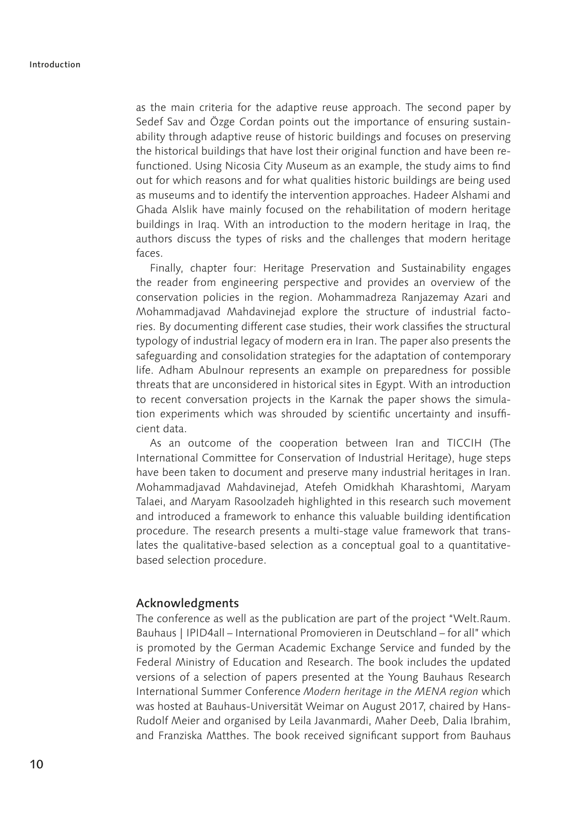as the main criteria for the adaptive reuse approach. The second paper by Sedef Sav and Özge Cordan points out the importance of ensuring sustainability through adaptive reuse of historic buildings and focuses on preserving the historical buildings that have lost their original function and have been refunctioned. Using Nicosia City Museum as an example, the study aims to find out for which reasons and for what qualities historic buildings are being used as museums and to identify the intervention approaches. Hadeer Alshami and Ghada Alslik have mainly focused on the rehabilitation of modern heritage buildings in Iraq. With an introduction to the modern heritage in Iraq, the authors discuss the types of risks and the challenges that modern heritage faces.

Finally, chapter four: Heritage Preservation and Sustainability engages the reader from engineering perspective and provides an overview of the conservation policies in the region. Mohammadreza Ranjazemay Azari and Mohammadjavad Mahdavinejad explore the structure of industrial factories. By documenting different case studies, their work classifies the structural typology of industrial legacy of modern era in Iran. The paper also presents the safeguarding and consolidation strategies for the adaptation of contemporary life. Adham Abulnour represents an example on preparedness for possible threats that are unconsidered in historical sites in Egypt. With an introduction to recent conversation projects in the Karnak the paper shows the simulation experiments which was shrouded by scientific uncertainty and insufficient data.

As an outcome of the cooperation between Iran and TICCIH (The International Committee for Conservation of Industrial Heritage), huge steps have been taken to document and preserve many industrial heritages in Iran. Mohammadjavad Mahdavinejad, Atefeh Omidkhah Kharashtomi, Maryam Talaei, and Maryam Rasoolzadeh highlighted in this research such movement and introduced a framework to enhance this valuable building identification procedure. The research presents a multi-stage value framework that translates the qualitative-based selection as a conceptual goal to a quantitativebased selection procedure.

#### Acknowledgments

The conference as well as the publication are part of the project "Welt.Raum. Bauhaus | IPID4all – International Promovieren in Deutschland – for all" which is promoted by the German Academic Exchange Service and funded by the Federal Ministry of Education and Research. The book includes the updated versions of a selection of papers presented at the Young Bauhaus Research International Summer Conference *Modern heritage in the MENA region* which was hosted at Bauhaus-Universität Weimar on August 2017, chaired by Hans-Rudolf Meier and organised by Leila Javanmardi, Maher Deeb, Dalia Ibrahim, and Franziska Matthes. The book received significant support from Bauhaus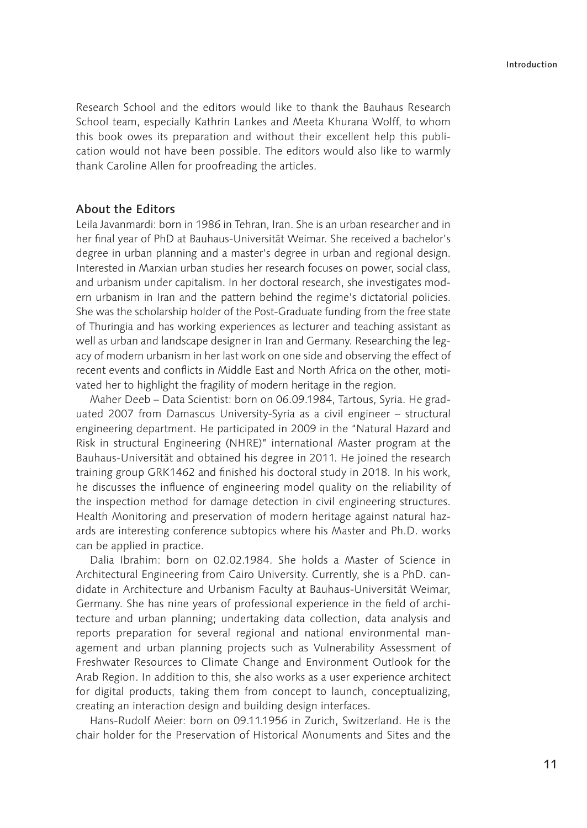Research School and the editors would like to thank the Bauhaus Research School team, especially Kathrin Lankes and Meeta Khurana Wolff, to whom this book owes its preparation and without their excellent help this publication would not have been possible. The editors would also like to warmly thank Caroline Allen for proofreading the articles.

#### About the Editors

Leila Javanmardi: born in 1986 in Tehran, Iran. She is an urban researcher and in her final year of PhD at Bauhaus-Universität Weimar. She received a bachelor's degree in urban planning and a master's degree in urban and regional design. Interested in Marxian urban studies her research focuses on power, social class, and urbanism under capitalism. In her doctoral research, she investigates modern urbanism in Iran and the pattern behind the regime's dictatorial policies. She was the scholarship holder of the Post-Graduate funding from the free state of Thuringia and has working experiences as lecturer and teaching assistant as well as urban and landscape designer in Iran and Germany. Researching the legacy of modern urbanism in her last work on one side and observing the effect of recent events and conflicts in Middle East and North Africa on the other, motivated her to highlight the fragility of modern heritage in the region.

Maher Deeb – Data Scientist: born on 06.09.1984, Tartous, Syria. He graduated 2007 from Damascus University-Syria as a civil engineer – structural engineering department. He participated in 2009 in the "Natural Hazard and Risk in structural Engineering (NHRE)" international Master program at the Bauhaus-Universität and obtained his degree in 2011. He joined the research training group GRK1462 and finished his doctoral study in 2018. In his work, he discusses the influence of engineering model quality on the reliability of the inspection method for damage detection in civil engineering structures. Health Monitoring and preservation of modern heritage against natural hazards are interesting conference subtopics where his Master and Ph.D. works can be applied in practice.

Dalia Ibrahim: born on 02.02.1984. She holds a Master of Science in Architectural Engineering from Cairo University. Currently, she is a PhD. candidate in Architecture and Urbanism Faculty at Bauhaus-Universität Weimar, Germany. She has nine years of professional experience in the field of architecture and urban planning; undertaking data collection, data analysis and reports preparation for several regional and national environmental management and urban planning projects such as Vulnerability Assessment of Freshwater Resources to Climate Change and Environment Outlook for the Arab Region. In addition to this, she also works as a user experience architect for digital products, taking them from concept to launch, conceptualizing, creating an interaction design and building design interfaces.

Hans-Rudolf Meier: born on 09.11.1956 in Zurich, Switzerland. He is the chair holder for the Preservation of Historical Monuments and Sites and the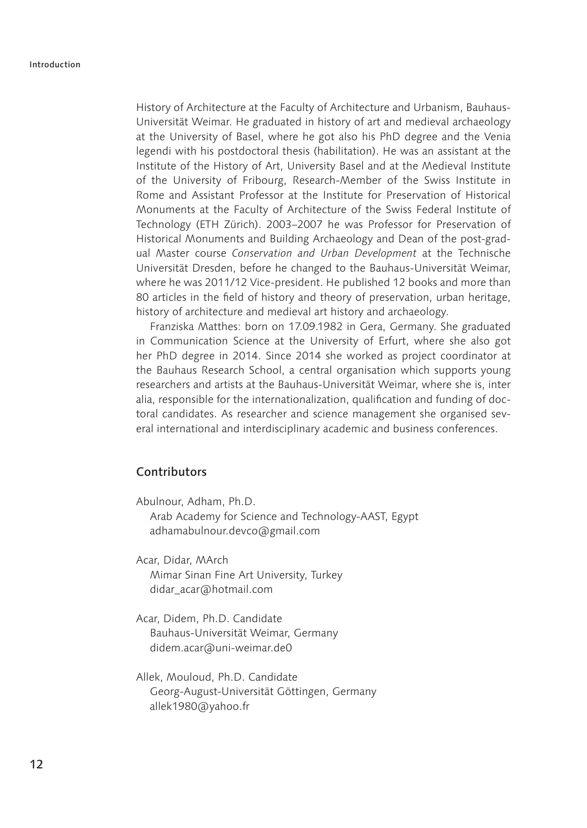History of Architecture at the Faculty of Architecture and Urbanism, Bauhaus-Universität Weimar. He graduated in history of art and medieval archaeology at the University of Basel, where he got also his PhD degree and the Venia legendi with his postdoctoral thesis (habilitation). He was an assistant at the Institute of the History of Art, University Basel and at the Medieval Institute of the University of Fribourg, Research-Member of the Swiss Institute in Rome and Assistant Professor at the Institute for Preservation of Historical Monuments at the Faculty of Architecture of the Swiss Federal Institute of Technology (ETH Zürich). 2003–2007 he was Professor for Preservation of Historical Monuments and Building Archaeology and Dean of the post-gradual Master course *Conservation and Urban Development* at the Technische Universität Dresden, before he changed to the Bauhaus-Universität Weimar, where he was 2011/12 Vice-president. He published 12 books and more than 80 articles in the field of history and theory of preservation, urban heritage, history of architecture and medieval art history and archaeology.

Franziska Matthes: born on 17.09.1982 in Gera, Germany. She graduated in Communication Science at the University of Erfurt, where she also got her PhD degree in 2014. Since 2014 she worked as project coordinator at the Bauhaus Research School, a central organisation which supports young researchers and artists at the Bauhaus-Universität Weimar, where she is, inter alia, responsible for the internationalization, qualification and funding of doctoral candidates. As researcher and science management she organised several international and interdisciplinary academic and business conferences.

#### Contributors

Abulnour, Adham, Ph.D. Arab Academy for Science and Technology-AAST, Egypt adhamabulnour.devco@gmail.com

Acar, Didar, MArch Mimar Sinan Fine Art University, Turkey didar\_acar@hotmail.com

- Acar, Didem, Ph.D. Candidate Bauhaus-Universität Weimar, Germany didem.acar@uni-weimar.de0
- Allek, Mouloud, Ph.D. Candidate Georg-August-Universität Göttingen, Germany allek1980@yahoo.fr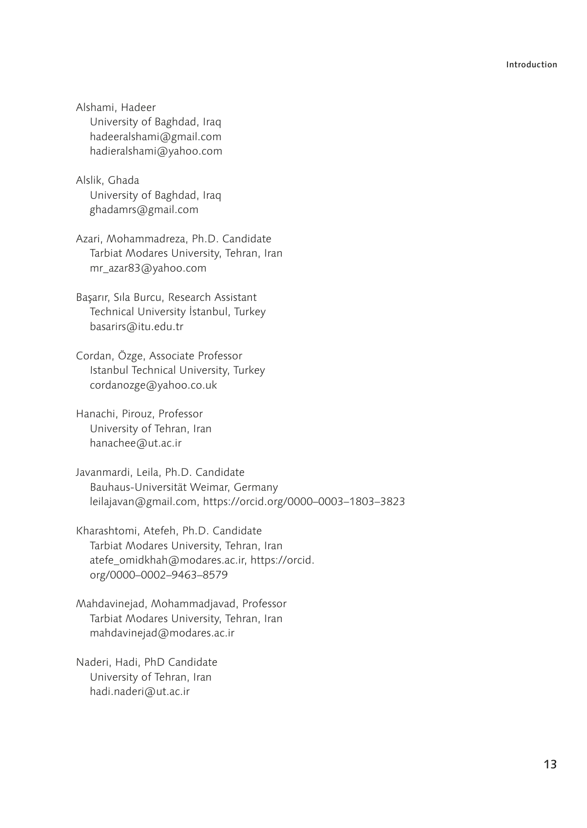Alshami, Hadeer University of Baghdad, Iraq hadeeralshami@gmail.com hadieralshami@yahoo.com

Alslik, Ghada University of Baghdad, Iraq ghadamrs@gmail.com

Azari, Mohammadreza, Ph.D. Candidate Tarbiat Modares University, Tehran, Iran mr\_azar83@yahoo.com

Başarır, Sıla Burcu, Research Assistant Technical University İstanbul, Turkey basarirs@itu.edu.tr

Cordan, Özge, Associate Professor Istanbul Technical University, Turkey cordanozge@yahoo.co.uk

Hanachi, Pirouz, Professor University of Tehran, Iran hanachee@ut.ac.ir

Javanmardi, Leila, Ph.D. Candidate Bauhaus-Universität Weimar, Germany leilajavan@gmail.com, https://orcid.org/0000–0003–1803–3823

Kharashtomi, Atefeh, Ph.D. Candidate Tarbiat Modares University, Tehran, Iran atefe\_omidkhah@modares.ac.ir, https://orcid. org/0000–0002–9463–8579

Mahdavinejad, Mohammadjavad, Professor Tarbiat Modares University, Tehran, Iran mahdavinejad@modares.ac.ir

Naderi, Hadi, PhD Candidate University of Tehran, Iran hadi.naderi@ut.ac.ir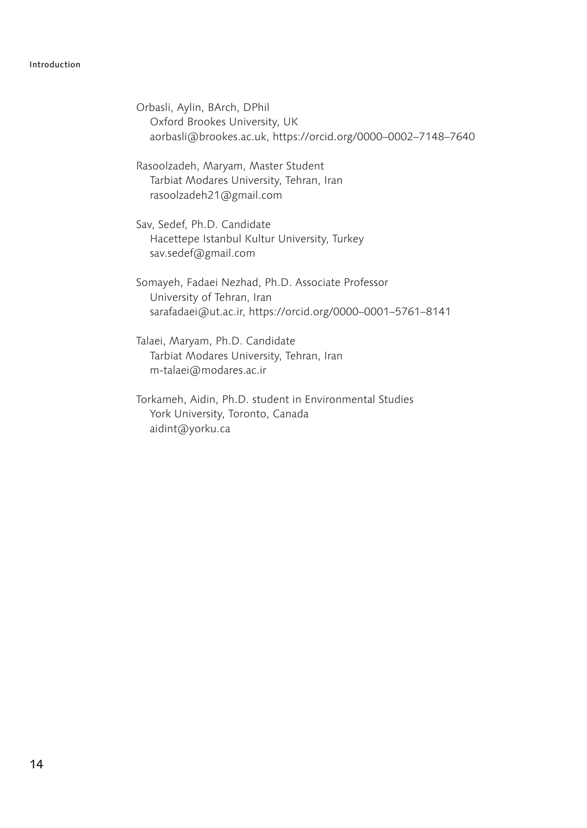#### Introduction

Orbasli, Aylin, BArch, DPhil Oxford Brookes University, UK aorbasli@brookes.ac.uk, https://orcid.org/0000–0002–7148–7640

Rasoolzadeh, Maryam, Master Student Tarbiat Modares University, Tehran, Iran rasoolzadeh21@gmail.com

Sav, Sedef, Ph.D. Candidate Hacettepe Istanbul Kultur University, Turkey sav.sedef@gmail.com

Somayeh, Fadaei Nezhad, Ph.D. Associate Professor University of Tehran, Iran sarafadaei@ut.ac.ir, https://orcid.org/0000–0001–5761–8141

Talaei, Maryam, Ph.D. Candidate Tarbiat Modares University, Tehran, Iran m-talaei@modares.ac.ir

Torkameh, Aidin, Ph.D. student in Environmental Studies York University, Toronto, Canada aidint@yorku.ca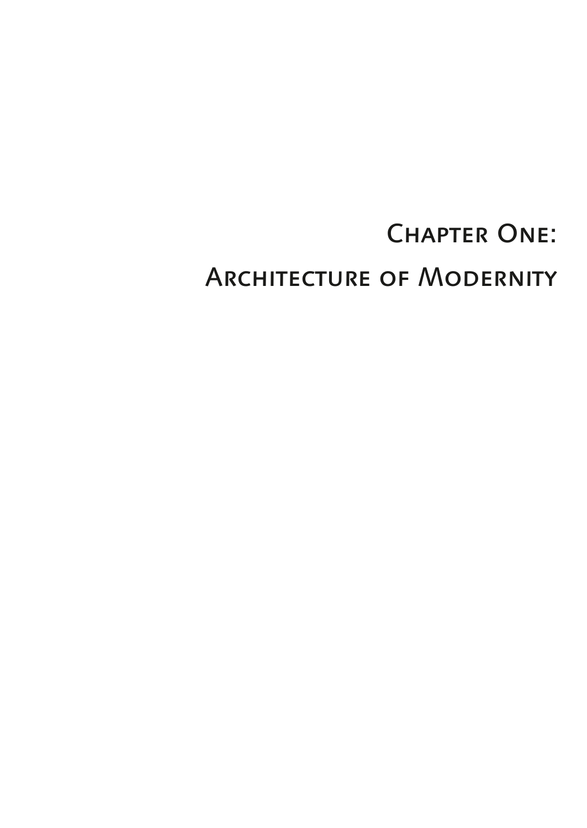# **CHAPTER ONE:**

## Architecture of Modernity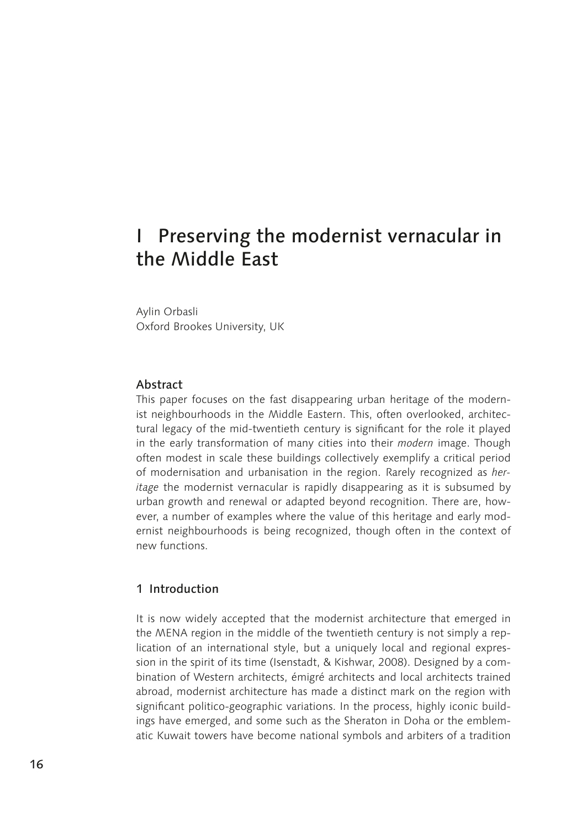### I Preserving the modernist vernacular in the Middle East

Aylin Orbasli Oxford Brookes University, UK

#### Abstract

This paper focuses on the fast disappearing urban heritage of the modernist neighbourhoods in the Middle Eastern. This, often overlooked, architectural legacy of the mid-twentieth century is significant for the role it played in the early transformation of many cities into their *modern* image. Though often modest in scale these buildings collectively exemplify a critical period of modernisation and urbanisation in the region. Rarely recognized as *heritage* the modernist vernacular is rapidly disappearing as it is subsumed by urban growth and renewal or adapted beyond recognition. There are, however, a number of examples where the value of this heritage and early modernist neighbourhoods is being recognized, though often in the context of new functions.

#### 1 Introduction

It is now widely accepted that the modernist architecture that emerged in the MENA region in the middle of the twentieth century is not simply a replication of an international style, but a uniquely local and regional expression in the spirit of its time (Isenstadt, & Kishwar, 2008). Designed by a combination of Western architects, émigré architects and local architects trained abroad, modernist architecture has made a distinct mark on the region with significant politico-geographic variations. In the process, highly iconic buildings have emerged, and some such as the Sheraton in Doha or the emblematic Kuwait towers have become national symbols and arbiters of a tradition